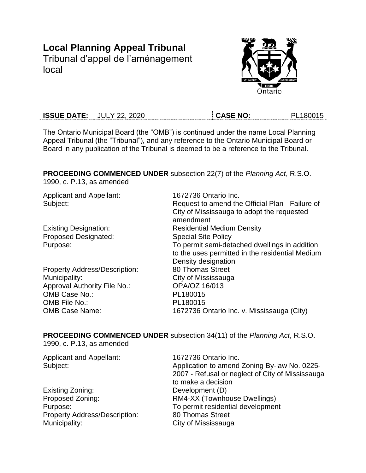# **Local Planning Appeal Tribunal** Tribunal d'appel de l'aménagement

local



| <b>ISSUE DATE:</b> | 2020<br>JUL.<br>$\mathbf{v}$ | ASE NO: | -18001 |
|--------------------|------------------------------|---------|--------|

The Ontario Municipal Board (the "OMB") is continued under the name Local Planning Appeal Tribunal (the "Tribunal"), and any reference to the Ontario Municipal Board or Board in any publication of the Tribunal is deemed to be a reference to the Tribunal.

**PROCEEDING COMMENCED UNDER** subsection 22(7) of the *Planning Act*, R.S.O. 1990, c. P.13, as amended

Applicant and Appellant: 1672736 Ontario Inc.

Proposed Designated: Special Site Policy

Property Address/Description: 80 Thomas Street Municipality: City of Mississauga Approval Authority File No.: OPA/OZ 16/013 OMB Case No.: PL180015 OMB File No.: PL180015

Subject: Subject: Request to amend the Official Plan - Failure of City of Mississauga to adopt the requested amendment Existing Designation: Residential Medium Density Purpose: To permit semi-detached dwellings in addition to the uses permitted in the residential Medium Density designation OMB Case Name: 1672736 Ontario Inc. v. Mississauga (City)

**PROCEEDING COMMENCED UNDER** subsection 34(11) of the *Planning Act*, R.S.O.

1990, c. P.13, as amended

| <b>Applicant and Appellant:</b>      | 1672736 Ontario Inc.                             |
|--------------------------------------|--------------------------------------------------|
| Subject:                             | Application to amend Zoning By-law No. 0225-     |
|                                      | 2007 - Refusal or neglect of City of Mississauga |
|                                      | to make a decision                               |
| Existing Zoning:                     | Development (D)                                  |
| Proposed Zoning:                     | RM4-XX (Townhouse Dwellings)                     |
| Purpose:                             | To permit residential development                |
| <b>Property Address/Description:</b> | 80 Thomas Street                                 |
| Municipality:                        | City of Mississauga                              |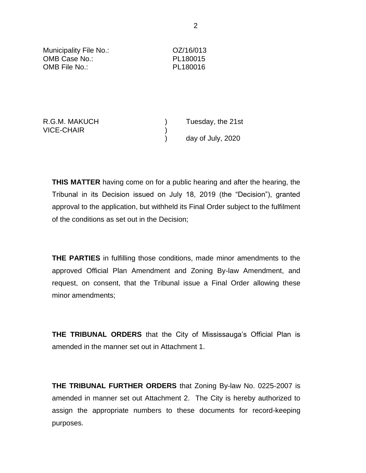| Municipality File No.:<br>OMB Case No.:<br>OMB File No.: | OZ/16/013<br>PL180015<br>PL180016 |  |
|----------------------------------------------------------|-----------------------------------|--|
|                                                          |                                   |  |
| R.G.M. MAKUCH<br><b>VICE-CHAIR</b>                       | Tuesday, the 21st                 |  |

) day of July, 2020

**THIS MATTER** having come on for a public hearing and after the hearing, the Tribunal in its Decision issued on July 18, 2019 (the "Decision"), granted approval to the application, but withheld its Final Order subject to the fulfilment of the conditions as set out in the Decision;

**THE PARTIES** in fulfilling those conditions, made minor amendments to the approved Official Plan Amendment and Zoning By-law Amendment, and request, on consent, that the Tribunal issue a Final Order allowing these minor amendments;

**THE TRIBUNAL ORDERS** that the City of Mississauga's Official Plan is amended in the manner set out in Attachment 1.

**THE TRIBUNAL FURTHER ORDERS** that Zoning By-law No. 0225-2007 is amended in manner set out Attachment 2. The City is hereby authorized to assign the appropriate numbers to these documents for record-keeping purposes.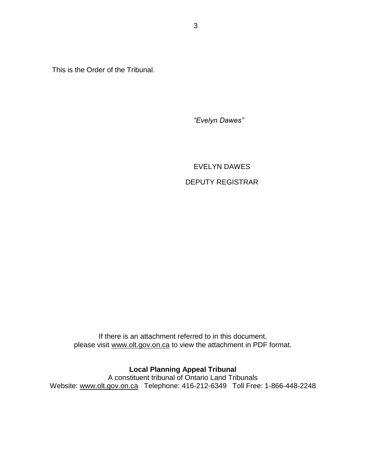This is the Order of the Tribunal.

*"Evelyn Dawes"*

EVELYN DAWES DEPUTY REGISTRAR

If there is an attachment referred to in this document, please visit www.olt.gov.on.ca to view the attachment in PDF format.

# **Local Planning Appeal Tribunal**

A constituent tribunal of Ontario Land Tribunals Website: [www.olt.gov.on.ca](http://www.olt.gov.on.ca/) Telephone: 416-212-6349 Toll Free: 1-866-448-2248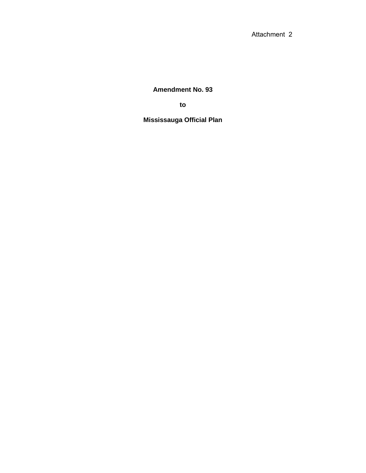Attachment 2

**Amendment No. 93**

**to**

**Mississauga Official Plan**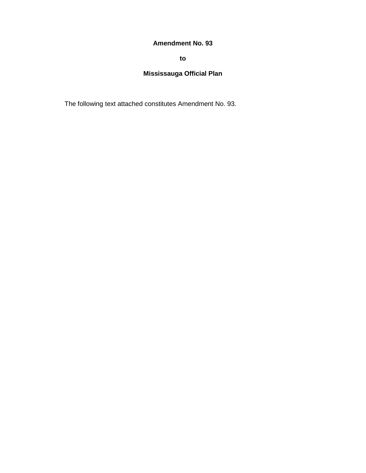# **Amendment No. 93**

**to**

# **Mississauga Official Plan**

The following text attached constitutes Amendment No. 93.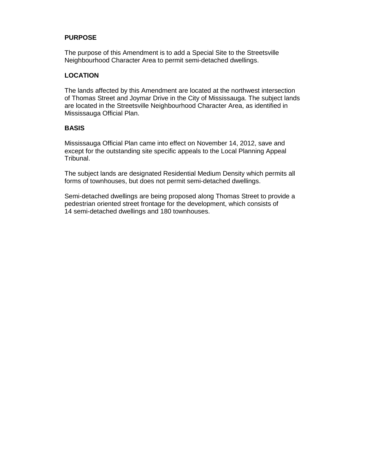## **PURPOSE**

The purpose of this Amendment is to add a Special Site to the Streetsville Neighbourhood Character Area to permit semi-detached dwellings.

## **LOCATION**

The lands affected by this Amendment are located at the northwest intersection of Thomas Street and Joymar Drive in the City of Mississauga. The subject lands are located in the Streetsville Neighbourhood Character Area, as identified in Mississauga Official Plan.

#### **BASIS**

Mississauga Official Plan came into effect on November 14, 2012, save and except for the outstanding site specific appeals to the Local Planning Appeal Tribunal.

The subject lands are designated Residential Medium Density which permits all forms of townhouses, but does not permit semi-detached dwellings.

Semi-detached dwellings are being proposed along Thomas Street to provide a pedestrian oriented street frontage for the development, which consists of 14 semi-detached dwellings and 180 townhouses.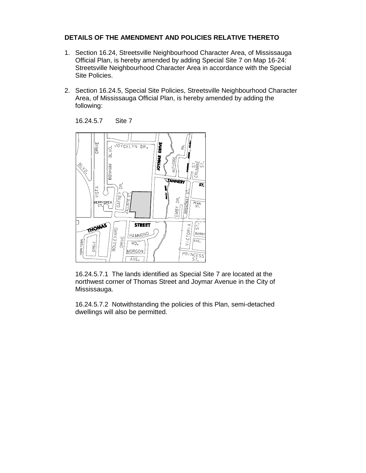### **DETAILS OF THE AMENDMENT AND POLICIES RELATIVE THERETO**

- 1. Section 16.24, Streetsville Neighbourhood Character Area, of Mississauga Official Plan, is hereby amended by adding Special Site 7 on Map 16-24: Streetsville Neighbourhood Character Area in accordance with the Special Site Policies.
- 2. Section 16.24.5, Special Site Policies, Streetsville Neighbourhood Character Area, of Mississauga Official Plan, is hereby amended by adding the following:

16.24.5.7 Site 7



16.24.5.7.1 The lands identified as Special Site 7 are located at the northwest corner of Thomas Street and Joymar Avenue in the City of Mississauga.

16.24.5.7.2 Notwithstanding the policies of this Plan, semi-detached dwellings will also be permitted.